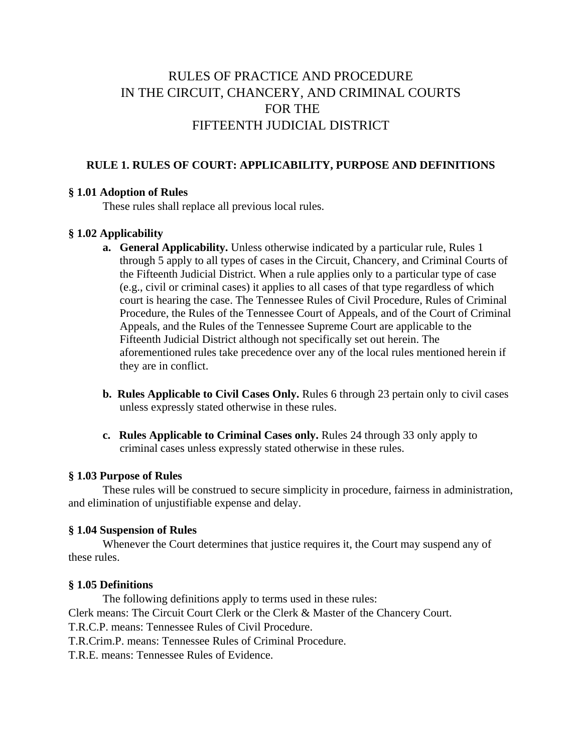# RULES OF PRACTICE AND PROCEDURE IN THE CIRCUIT, CHANCERY, AND CRIMINAL COURTS FOR THE FIFTEENTH JUDICIAL DISTRICT

## **RULE 1. RULES OF COURT: APPLICABILITY, PURPOSE AND DEFINITIONS**

## **§ 1.01 Adoption of Rules**

These rules shall replace all previous local rules.

## **§ 1.02 Applicability**

- **a. General Applicability.** Unless otherwise indicated by a particular rule, Rules 1 through 5 apply to all types of cases in the Circuit, Chancery, and Criminal Courts of the Fifteenth Judicial District. When a rule applies only to a particular type of case (e.g., civil or criminal cases) it applies to all cases of that type regardless of which court is hearing the case. The Tennessee Rules of Civil Procedure, Rules of Criminal Procedure, the Rules of the Tennessee Court of Appeals, and of the Court of Criminal Appeals, and the Rules of the Tennessee Supreme Court are applicable to the Fifteenth Judicial District although not specifically set out herein. The aforementioned rules take precedence over any of the local rules mentioned herein if they are in conflict.
- **b. Rules Applicable to Civil Cases Only.** Rules 6 through 23 pertain only to civil cases unless expressly stated otherwise in these rules.
- **c. Rules Applicable to Criminal Cases only.** Rules 24 through 33 only apply to criminal cases unless expressly stated otherwise in these rules.

## **§ 1.03 Purpose of Rules**

These rules will be construed to secure simplicity in procedure, fairness in administration, and elimination of unjustifiable expense and delay.

## **§ 1.04 Suspension of Rules**

Whenever the Court determines that justice requires it, the Court may suspend any of these rules.

### **§ 1.05 Definitions**

The following definitions apply to terms used in these rules: Clerk means: The Circuit Court Clerk or the Clerk & Master of the Chancery Court. T.R.C.P. means: Tennessee Rules of Civil Procedure. T.R.Crim.P. means: Tennessee Rules of Criminal Procedure.

T.R.E. means: Tennessee Rules of Evidence.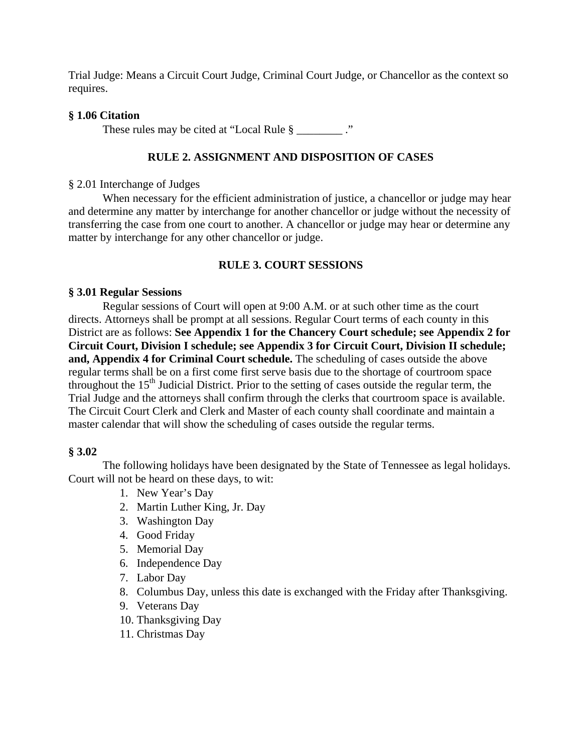Trial Judge: Means a Circuit Court Judge, Criminal Court Judge, or Chancellor as the context so requires.

## **§ 1.06 Citation**

These rules may be cited at "Local Rule  $\S$  \_\_\_\_\_\_\_\_\_."

## **RULE 2. ASSIGNMENT AND DISPOSITION OF CASES**

## § 2.01 Interchange of Judges

When necessary for the efficient administration of justice, a chancellor or judge may hear and determine any matter by interchange for another chancellor or judge without the necessity of transferring the case from one court to another. A chancellor or judge may hear or determine any matter by interchange for any other chancellor or judge.

## **RULE 3. COURT SESSIONS**

## **§ 3.01 Regular Sessions**

Regular sessions of Court will open at 9:00 A.M. or at such other time as the court directs. Attorneys shall be prompt at all sessions. Regular Court terms of each county in this District are as follows: **See Appendix 1 for the Chancery Court schedule; see Appendix 2 for Circuit Court, Division I schedule; see Appendix 3 for Circuit Court, Division II schedule; and, Appendix 4 for Criminal Court schedule.** The scheduling of cases outside the above regular terms shall be on a first come first serve basis due to the shortage of courtroom space throughout the  $15<sup>th</sup>$  Judicial District. Prior to the setting of cases outside the regular term, the Trial Judge and the attorneys shall confirm through the clerks that courtroom space is available. The Circuit Court Clerk and Clerk and Master of each county shall coordinate and maintain a master calendar that will show the scheduling of cases outside the regular terms.

## **§ 3.02**

 The following holidays have been designated by the State of Tennessee as legal holidays. Court will not be heard on these days, to wit:

- 1. New Year's Day
- 2. Martin Luther King, Jr. Day
- 3. Washington Day
- 4. Good Friday
- 5. Memorial Day
- 6. Independence Day
- 7. Labor Day
- 8. Columbus Day, unless this date is exchanged with the Friday after Thanksgiving.
- 9. Veterans Day
- 10. Thanksgiving Day
- 11. Christmas Day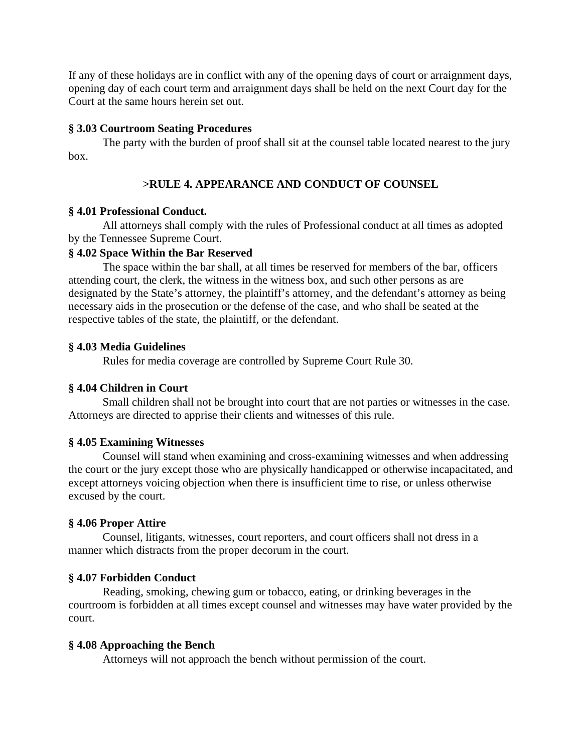If any of these holidays are in conflict with any of the opening days of court or arraignment days, opening day of each court term and arraignment days shall be held on the next Court day for the Court at the same hours herein set out.

## **§ 3.03 Courtroom Seating Procedures**

The party with the burden of proof shall sit at the counsel table located nearest to the jury box.

## **>RULE 4. APPEARANCE AND CONDUCT OF COUNSEL**

## **§ 4.01 Professional Conduct.**

All attorneys shall comply with the rules of Professional conduct at all times as adopted by the Tennessee Supreme Court.

## **§ 4.02 Space Within the Bar Reserved**

The space within the bar shall, at all times be reserved for members of the bar, officers attending court, the clerk, the witness in the witness box, and such other persons as are designated by the State's attorney, the plaintiff's attorney, and the defendant's attorney as being necessary aids in the prosecution or the defense of the case, and who shall be seated at the respective tables of the state, the plaintiff, or the defendant.

## **§ 4.03 Media Guidelines**

Rules for media coverage are controlled by Supreme Court Rule 30.

## **§ 4.04 Children in Court**

Small children shall not be brought into court that are not parties or witnesses in the case. Attorneys are directed to apprise their clients and witnesses of this rule.

### **§ 4.05 Examining Witnesses**

Counsel will stand when examining and cross-examining witnesses and when addressing the court or the jury except those who are physically handicapped or otherwise incapacitated, and except attorneys voicing objection when there is insufficient time to rise, or unless otherwise excused by the court.

## **§ 4.06 Proper Attire**

Counsel, litigants, witnesses, court reporters, and court officers shall not dress in a manner which distracts from the proper decorum in the court.

### **§ 4.07 Forbidden Conduct**

Reading, smoking, chewing gum or tobacco, eating, or drinking beverages in the courtroom is forbidden at all times except counsel and witnesses may have water provided by the court.

### **§ 4.08 Approaching the Bench**

Attorneys will not approach the bench without permission of the court.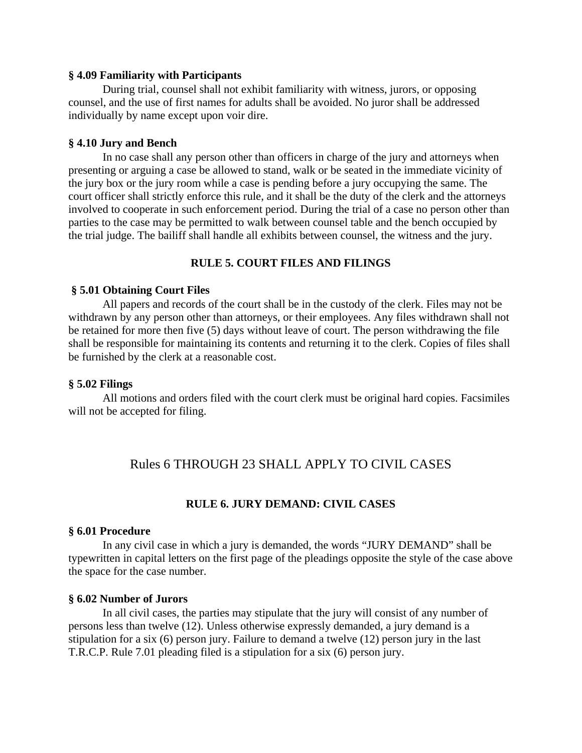### **§ 4.09 Familiarity with Participants**

During trial, counsel shall not exhibit familiarity with witness, jurors, or opposing counsel, and the use of first names for adults shall be avoided. No juror shall be addressed individually by name except upon voir dire.

### **§ 4.10 Jury and Bench**

In no case shall any person other than officers in charge of the jury and attorneys when presenting or arguing a case be allowed to stand, walk or be seated in the immediate vicinity of the jury box or the jury room while a case is pending before a jury occupying the same. The court officer shall strictly enforce this rule, and it shall be the duty of the clerk and the attorneys involved to cooperate in such enforcement period. During the trial of a case no person other than parties to the case may be permitted to walk between counsel table and the bench occupied by the trial judge. The bailiff shall handle all exhibits between counsel, the witness and the jury.

## **RULE 5. COURT FILES AND FILINGS**

## **§ 5.01 Obtaining Court Files**

All papers and records of the court shall be in the custody of the clerk. Files may not be withdrawn by any person other than attorneys, or their employees. Any files withdrawn shall not be retained for more then five (5) days without leave of court. The person withdrawing the file shall be responsible for maintaining its contents and returning it to the clerk. Copies of files shall be furnished by the clerk at a reasonable cost.

#### **§ 5.02 Filings**

All motions and orders filed with the court clerk must be original hard copies. Facsimiles will not be accepted for filing.

## Rules 6 THROUGH 23 SHALL APPLY TO CIVIL CASES

## **RULE 6. JURY DEMAND: CIVIL CASES**

### **§ 6.01 Procedure**

In any civil case in which a jury is demanded, the words "JURY DEMAND" shall be typewritten in capital letters on the first page of the pleadings opposite the style of the case above the space for the case number.

#### **§ 6.02 Number of Jurors**

In all civil cases, the parties may stipulate that the jury will consist of any number of persons less than twelve (12). Unless otherwise expressly demanded, a jury demand is a stipulation for a six (6) person jury. Failure to demand a twelve (12) person jury in the last T.R.C.P. Rule 7.01 pleading filed is a stipulation for a six (6) person jury.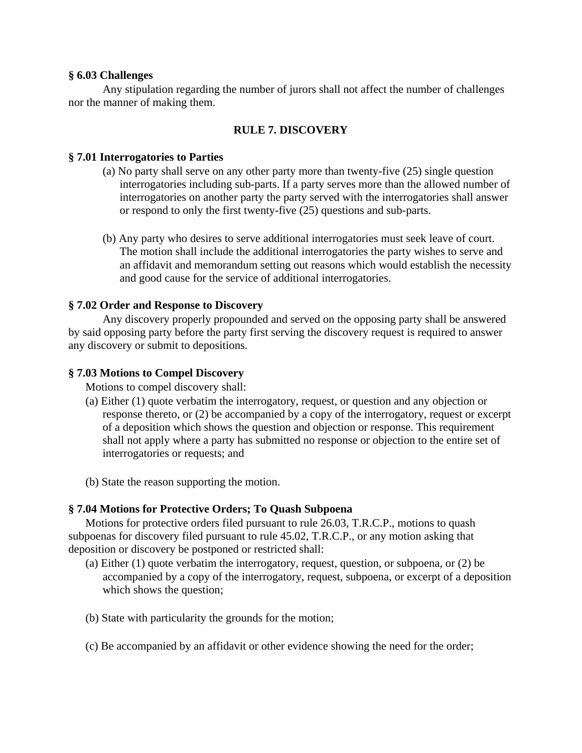## **§ 6.03 Challenges**

Any stipulation regarding the number of jurors shall not affect the number of challenges nor the manner of making them.

## **RULE 7. DISCOVERY**

## **§ 7.01 Interrogatories to Parties**

- (a) No party shall serve on any other party more than twenty-five (25) single question interrogatories including sub-parts. If a party serves more than the allowed number of interrogatories on another party the party served with the interrogatories shall answer or respond to only the first twenty-five (25) questions and sub-parts.
- (b) Any party who desires to serve additional interrogatories must seek leave of court. The motion shall include the additional interrogatories the party wishes to serve and an affidavit and memorandum setting out reasons which would establish the necessity and good cause for the service of additional interrogatories.

## **§ 7.02 Order and Response to Discovery**

Any discovery properly propounded and served on the opposing party shall be answered by said opposing party before the party first serving the discovery request is required to answer any discovery or submit to depositions.

## **§ 7.03 Motions to Compel Discovery**

Motions to compel discovery shall:

- (a) Either (1) quote verbatim the interrogatory, request, or question and any objection or response thereto, or (2) be accompanied by a copy of the interrogatory, request or excerpt of a deposition which shows the question and objection or response. This requirement shall not apply where a party has submitted no response or objection to the entire set of interrogatories or requests; and
- (b) State the reason supporting the motion.

### **§ 7.04 Motions for Protective Orders; To Quash Subpoena**

Motions for protective orders filed pursuant to rule 26.03, T.R.C.P., motions to quash subpoenas for discovery filed pursuant to rule 45.02, T.R.C.P., or any motion asking that deposition or discovery be postponed or restricted shall:

- (a) Either (1) quote verbatim the interrogatory, request, question, or subpoena, or (2) be accompanied by a copy of the interrogatory, request, subpoena, or excerpt of a deposition which shows the question;
- (b) State with particularity the grounds for the motion;
- (c) Be accompanied by an affidavit or other evidence showing the need for the order;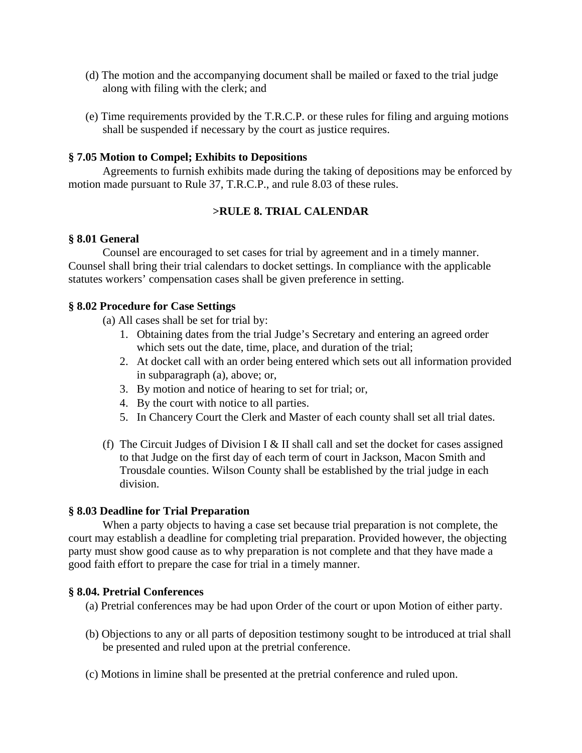- (d) The motion and the accompanying document shall be mailed or faxed to the trial judge along with filing with the clerk; and
- (e) Time requirements provided by the T.R.C.P. or these rules for filing and arguing motions shall be suspended if necessary by the court as justice requires.

## **§ 7.05 Motion to Compel; Exhibits to Depositions**

Agreements to furnish exhibits made during the taking of depositions may be enforced by motion made pursuant to Rule 37, T.R.C.P., and rule 8.03 of these rules.

## **>RULE 8. TRIAL CALENDAR**

### **§ 8.01 General**

Counsel are encouraged to set cases for trial by agreement and in a timely manner. Counsel shall bring their trial calendars to docket settings. In compliance with the applicable statutes workers' compensation cases shall be given preference in setting.

### **§ 8.02 Procedure for Case Settings**

(a) All cases shall be set for trial by:

- 1. Obtaining dates from the trial Judge's Secretary and entering an agreed order which sets out the date, time, place, and duration of the trial;
- 2. At docket call with an order being entered which sets out all information provided in subparagraph (a), above; or,
- 3. By motion and notice of hearing to set for trial; or,
- 4. By the court with notice to all parties.
- 5. In Chancery Court the Clerk and Master of each county shall set all trial dates.
- (f) The Circuit Judges of Division I  $&$  II shall call and set the docket for cases assigned to that Judge on the first day of each term of court in Jackson, Macon Smith and Trousdale counties. Wilson County shall be established by the trial judge in each division.

### **§ 8.03 Deadline for Trial Preparation**

When a party objects to having a case set because trial preparation is not complete, the court may establish a deadline for completing trial preparation. Provided however, the objecting party must show good cause as to why preparation is not complete and that they have made a good faith effort to prepare the case for trial in a timely manner.

### **§ 8.04. Pretrial Conferences**

- (a) Pretrial conferences may be had upon Order of the court or upon Motion of either party.
- (b) Objections to any or all parts of deposition testimony sought to be introduced at trial shall be presented and ruled upon at the pretrial conference.
- (c) Motions in limine shall be presented at the pretrial conference and ruled upon.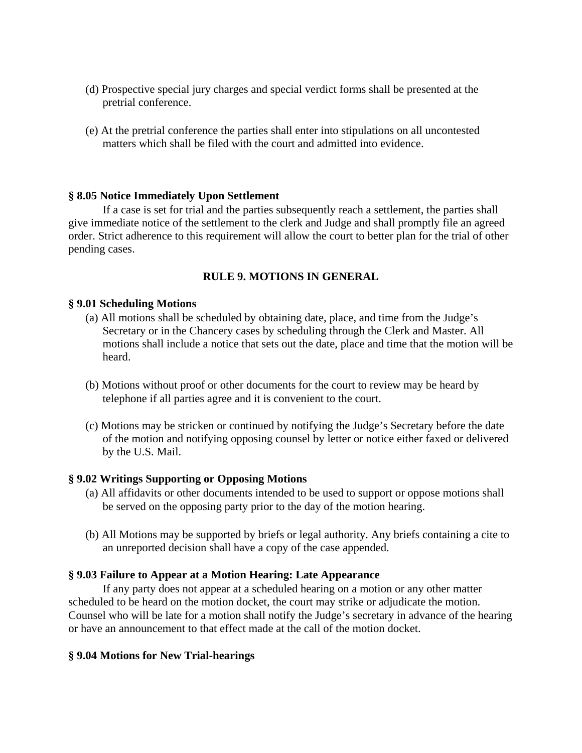- (d) Prospective special jury charges and special verdict forms shall be presented at the pretrial conference.
- (e) At the pretrial conference the parties shall enter into stipulations on all uncontested matters which shall be filed with the court and admitted into evidence.

## **§ 8.05 Notice Immediately Upon Settlement**

If a case is set for trial and the parties subsequently reach a settlement, the parties shall give immediate notice of the settlement to the clerk and Judge and shall promptly file an agreed order. Strict adherence to this requirement will allow the court to better plan for the trial of other pending cases.

## **RULE 9. MOTIONS IN GENERAL**

### **§ 9.01 Scheduling Motions**

- (a) All motions shall be scheduled by obtaining date, place, and time from the Judge's Secretary or in the Chancery cases by scheduling through the Clerk and Master. All motions shall include a notice that sets out the date, place and time that the motion will be heard.
- (b) Motions without proof or other documents for the court to review may be heard by telephone if all parties agree and it is convenient to the court.
- (c) Motions may be stricken or continued by notifying the Judge's Secretary before the date of the motion and notifying opposing counsel by letter or notice either faxed or delivered by the U.S. Mail.

### **§ 9.02 Writings Supporting or Opposing Motions**

- (a) All affidavits or other documents intended to be used to support or oppose motions shall be served on the opposing party prior to the day of the motion hearing.
- (b) All Motions may be supported by briefs or legal authority. Any briefs containing a cite to an unreported decision shall have a copy of the case appended.

### **§ 9.03 Failure to Appear at a Motion Hearing: Late Appearance**

If any party does not appear at a scheduled hearing on a motion or any other matter scheduled to be heard on the motion docket, the court may strike or adjudicate the motion. Counsel who will be late for a motion shall notify the Judge's secretary in advance of the hearing or have an announcement to that effect made at the call of the motion docket.

### **§ 9.04 Motions for New Trial-hearings**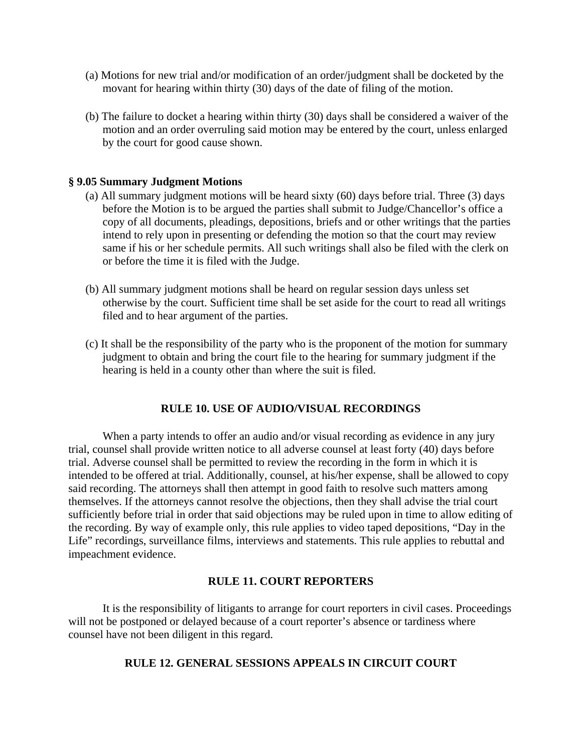- (a) Motions for new trial and/or modification of an order/judgment shall be docketed by the movant for hearing within thirty (30) days of the date of filing of the motion.
- (b) The failure to docket a hearing within thirty (30) days shall be considered a waiver of the motion and an order overruling said motion may be entered by the court, unless enlarged by the court for good cause shown.

### **§ 9.05 Summary Judgment Motions**

- (a) All summary judgment motions will be heard sixty (60) days before trial. Three (3) days before the Motion is to be argued the parties shall submit to Judge/Chancellor's office a copy of all documents, pleadings, depositions, briefs and or other writings that the parties intend to rely upon in presenting or defending the motion so that the court may review same if his or her schedule permits. All such writings shall also be filed with the clerk on or before the time it is filed with the Judge.
- (b) All summary judgment motions shall be heard on regular session days unless set otherwise by the court. Sufficient time shall be set aside for the court to read all writings filed and to hear argument of the parties.
- (c) It shall be the responsibility of the party who is the proponent of the motion for summary judgment to obtain and bring the court file to the hearing for summary judgment if the hearing is held in a county other than where the suit is filed.

### **RULE 10. USE OF AUDIO/VISUAL RECORDINGS**

When a party intends to offer an audio and/or visual recording as evidence in any jury trial, counsel shall provide written notice to all adverse counsel at least forty (40) days before trial. Adverse counsel shall be permitted to review the recording in the form in which it is intended to be offered at trial. Additionally, counsel, at his/her expense, shall be allowed to copy said recording. The attorneys shall then attempt in good faith to resolve such matters among themselves. If the attorneys cannot resolve the objections, then they shall advise the trial court sufficiently before trial in order that said objections may be ruled upon in time to allow editing of the recording. By way of example only, this rule applies to video taped depositions, "Day in the Life" recordings, surveillance films, interviews and statements. This rule applies to rebuttal and impeachment evidence.

## **RULE 11. COURT REPORTERS**

It is the responsibility of litigants to arrange for court reporters in civil cases. Proceedings will not be postponed or delayed because of a court reporter's absence or tardiness where counsel have not been diligent in this regard.

## **RULE 12. GENERAL SESSIONS APPEALS IN CIRCUIT COURT**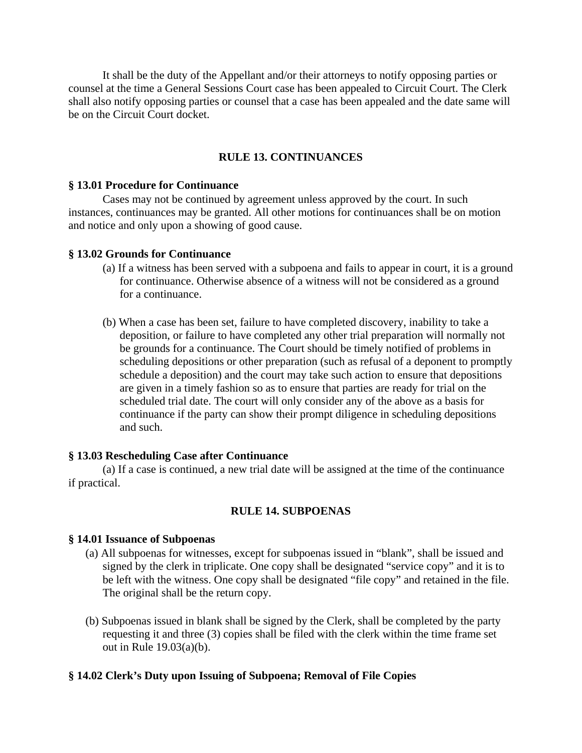It shall be the duty of the Appellant and/or their attorneys to notify opposing parties or counsel at the time a General Sessions Court case has been appealed to Circuit Court. The Clerk shall also notify opposing parties or counsel that a case has been appealed and the date same will be on the Circuit Court docket.

## **RULE 13. CONTINUANCES**

### **§ 13.01 Procedure for Continuance**

 Cases may not be continued by agreement unless approved by the court. In such instances, continuances may be granted. All other motions for continuances shall be on motion and notice and only upon a showing of good cause.

### **§ 13.02 Grounds for Continuance**

- (a) If a witness has been served with a subpoena and fails to appear in court, it is a ground for continuance. Otherwise absence of a witness will not be considered as a ground for a continuance.
- (b) When a case has been set, failure to have completed discovery, inability to take a deposition, or failure to have completed any other trial preparation will normally not be grounds for a continuance. The Court should be timely notified of problems in scheduling depositions or other preparation (such as refusal of a deponent to promptly schedule a deposition) and the court may take such action to ensure that depositions are given in a timely fashion so as to ensure that parties are ready for trial on the scheduled trial date. The court will only consider any of the above as a basis for continuance if the party can show their prompt diligence in scheduling depositions and such.

### **§ 13.03 Rescheduling Case after Continuance**

 (a) If a case is continued, a new trial date will be assigned at the time of the continuance if practical.

### **RULE 14. SUBPOENAS**

### **§ 14.01 Issuance of Subpoenas**

- (a) All subpoenas for witnesses, except for subpoenas issued in "blank", shall be issued and signed by the clerk in triplicate. One copy shall be designated "service copy" and it is to be left with the witness. One copy shall be designated "file copy" and retained in the file. The original shall be the return copy.
- (b) Subpoenas issued in blank shall be signed by the Clerk, shall be completed by the party requesting it and three (3) copies shall be filed with the clerk within the time frame set out in Rule 19.03(a)(b).

### **§ 14.02 Clerk's Duty upon Issuing of Subpoena; Removal of File Copies**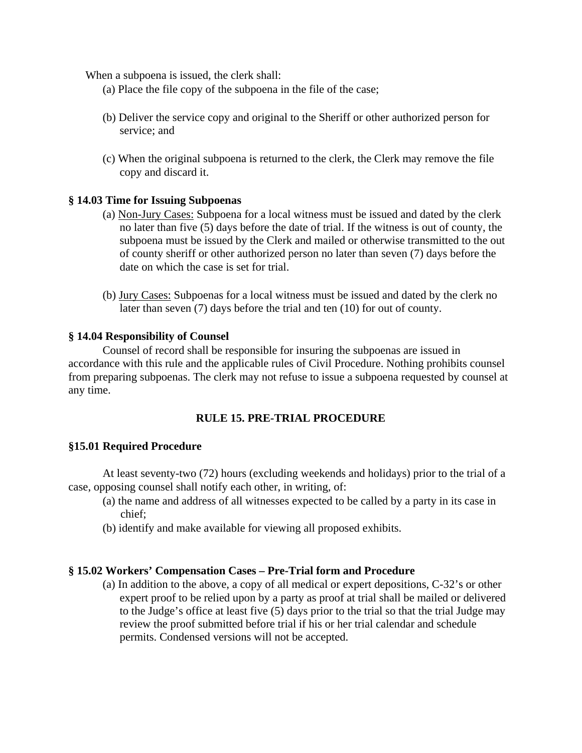When a subpoena is issued, the clerk shall:

- (a) Place the file copy of the subpoena in the file of the case;
- (b) Deliver the service copy and original to the Sheriff or other authorized person for service; and
- (c) When the original subpoena is returned to the clerk, the Clerk may remove the file copy and discard it.

## **§ 14.03 Time for Issuing Subpoenas**

- (a) Non-Jury Cases: Subpoena for a local witness must be issued and dated by the clerk no later than five (5) days before the date of trial. If the witness is out of county, the subpoena must be issued by the Clerk and mailed or otherwise transmitted to the out of county sheriff or other authorized person no later than seven (7) days before the date on which the case is set for trial.
- (b) Jury Cases: Subpoenas for a local witness must be issued and dated by the clerk no later than seven (7) days before the trial and ten (10) for out of county.

## **§ 14.04 Responsibility of Counsel**

Counsel of record shall be responsible for insuring the subpoenas are issued in accordance with this rule and the applicable rules of Civil Procedure. Nothing prohibits counsel from preparing subpoenas. The clerk may not refuse to issue a subpoena requested by counsel at any time.

## **RULE 15. PRE-TRIAL PROCEDURE**

### **§15.01 Required Procedure**

At least seventy-two (72) hours (excluding weekends and holidays) prior to the trial of a case, opposing counsel shall notify each other, in writing, of:

- (a) the name and address of all witnesses expected to be called by a party in its case in chief;
- (b) identify and make available for viewing all proposed exhibits.

## **§ 15.02 Workers' Compensation Cases – Pre-Trial form and Procedure**

(a) In addition to the above, a copy of all medical or expert depositions, C-32's or other expert proof to be relied upon by a party as proof at trial shall be mailed or delivered to the Judge's office at least five (5) days prior to the trial so that the trial Judge may review the proof submitted before trial if his or her trial calendar and schedule permits. Condensed versions will not be accepted.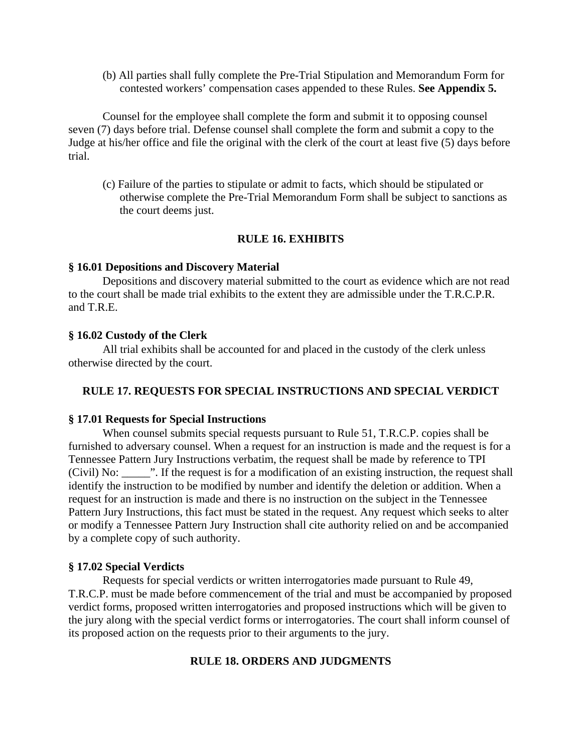(b) All parties shall fully complete the Pre-Trial Stipulation and Memorandum Form for contested workers' compensation cases appended to these Rules. **See Appendix 5.**

Counsel for the employee shall complete the form and submit it to opposing counsel seven (7) days before trial. Defense counsel shall complete the form and submit a copy to the Judge at his/her office and file the original with the clerk of the court at least five (5) days before trial.

(c) Failure of the parties to stipulate or admit to facts, which should be stipulated or otherwise complete the Pre-Trial Memorandum Form shall be subject to sanctions as the court deems just.

### **RULE 16. EXHIBITS**

### **§ 16.01 Depositions and Discovery Material**

 Depositions and discovery material submitted to the court as evidence which are not read to the court shall be made trial exhibits to the extent they are admissible under the T.R.C.P.R. and T.R.E.

### **§ 16.02 Custody of the Clerk**

All trial exhibits shall be accounted for and placed in the custody of the clerk unless otherwise directed by the court.

### **RULE 17. REQUESTS FOR SPECIAL INSTRUCTIONS AND SPECIAL VERDICT**

### **§ 17.01 Requests for Special Instructions**

 When counsel submits special requests pursuant to Rule 51, T.R.C.P. copies shall be furnished to adversary counsel. When a request for an instruction is made and the request is for a Tennessee Pattern Jury Instructions verbatim, the request shall be made by reference to TPI (Civil) No: \_\_\_\_\_". If the request is for a modification of an existing instruction, the request shall identify the instruction to be modified by number and identify the deletion or addition. When a request for an instruction is made and there is no instruction on the subject in the Tennessee Pattern Jury Instructions, this fact must be stated in the request. Any request which seeks to alter or modify a Tennessee Pattern Jury Instruction shall cite authority relied on and be accompanied by a complete copy of such authority.

### **§ 17.02 Special Verdicts**

 Requests for special verdicts or written interrogatories made pursuant to Rule 49, T.R.C.P. must be made before commencement of the trial and must be accompanied by proposed verdict forms, proposed written interrogatories and proposed instructions which will be given to the jury along with the special verdict forms or interrogatories. The court shall inform counsel of its proposed action on the requests prior to their arguments to the jury.

### **RULE 18. ORDERS AND JUDGMENTS**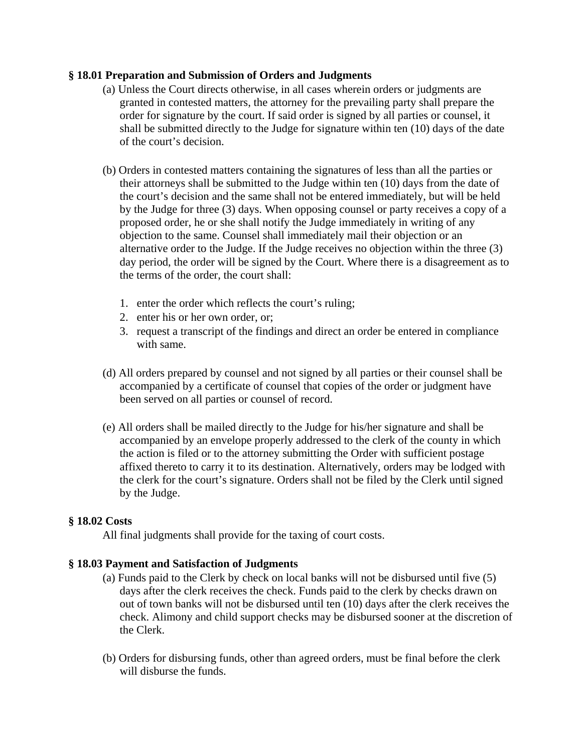## **§ 18.01 Preparation and Submission of Orders and Judgments**

- (a) Unless the Court directs otherwise, in all cases wherein orders or judgments are granted in contested matters, the attorney for the prevailing party shall prepare the order for signature by the court. If said order is signed by all parties or counsel, it shall be submitted directly to the Judge for signature within ten (10) days of the date of the court's decision.
- (b) Orders in contested matters containing the signatures of less than all the parties or their attorneys shall be submitted to the Judge within ten (10) days from the date of the court's decision and the same shall not be entered immediately, but will be held by the Judge for three (3) days. When opposing counsel or party receives a copy of a proposed order, he or she shall notify the Judge immediately in writing of any objection to the same. Counsel shall immediately mail their objection or an alternative order to the Judge. If the Judge receives no objection within the three (3) day period, the order will be signed by the Court. Where there is a disagreement as to the terms of the order, the court shall:
	- 1. enter the order which reflects the court's ruling;
	- 2. enter his or her own order, or;
	- 3. request a transcript of the findings and direct an order be entered in compliance with same.
- (d) All orders prepared by counsel and not signed by all parties or their counsel shall be accompanied by a certificate of counsel that copies of the order or judgment have been served on all parties or counsel of record.
- (e) All orders shall be mailed directly to the Judge for his/her signature and shall be accompanied by an envelope properly addressed to the clerk of the county in which the action is filed or to the attorney submitting the Order with sufficient postage affixed thereto to carry it to its destination. Alternatively, orders may be lodged with the clerk for the court's signature. Orders shall not be filed by the Clerk until signed by the Judge.

## **§ 18.02 Costs**

All final judgments shall provide for the taxing of court costs.

## **§ 18.03 Payment and Satisfaction of Judgments**

- (a) Funds paid to the Clerk by check on local banks will not be disbursed until five (5) days after the clerk receives the check. Funds paid to the clerk by checks drawn on out of town banks will not be disbursed until ten (10) days after the clerk receives the check. Alimony and child support checks may be disbursed sooner at the discretion of the Clerk.
- (b) Orders for disbursing funds, other than agreed orders, must be final before the clerk will disburse the funds.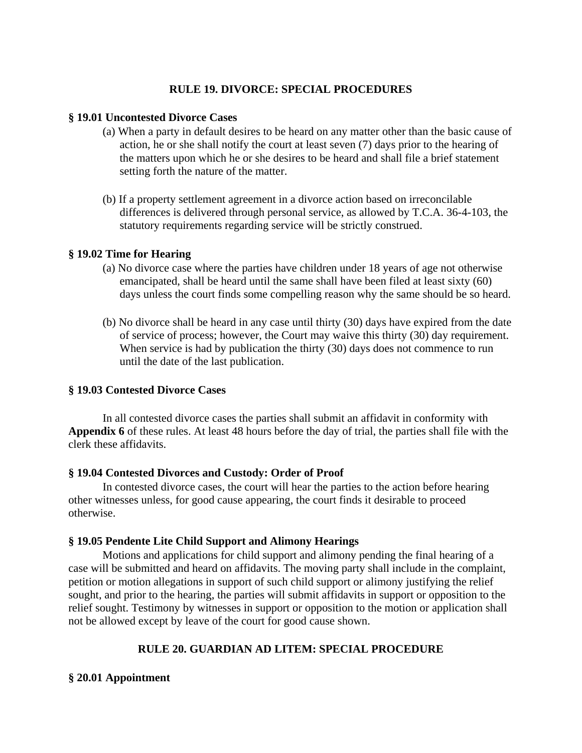## **RULE 19. DIVORCE: SPECIAL PROCEDURES**

## **§ 19.01 Uncontested Divorce Cases**

- (a) When a party in default desires to be heard on any matter other than the basic cause of action, he or she shall notify the court at least seven (7) days prior to the hearing of the matters upon which he or she desires to be heard and shall file a brief statement setting forth the nature of the matter.
- (b) If a property settlement agreement in a divorce action based on irreconcilable differences is delivered through personal service, as allowed by T.C.A. 36-4-103, the statutory requirements regarding service will be strictly construed.

## **§ 19.02 Time for Hearing**

- (a) No divorce case where the parties have children under 18 years of age not otherwise emancipated, shall be heard until the same shall have been filed at least sixty (60) days unless the court finds some compelling reason why the same should be so heard.
- (b) No divorce shall be heard in any case until thirty (30) days have expired from the date of service of process; however, the Court may waive this thirty (30) day requirement. When service is had by publication the thirty (30) days does not commence to run until the date of the last publication.

## **§ 19.03 Contested Divorce Cases**

In all contested divorce cases the parties shall submit an affidavit in conformity with **Appendix 6** of these rules. At least 48 hours before the day of trial, the parties shall file with the clerk these affidavits.

## **§ 19.04 Contested Divorces and Custody: Order of Proof**

 In contested divorce cases, the court will hear the parties to the action before hearing other witnesses unless, for good cause appearing, the court finds it desirable to proceed otherwise.

## **§ 19.05 Pendente Lite Child Support and Alimony Hearings**

 Motions and applications for child support and alimony pending the final hearing of a case will be submitted and heard on affidavits. The moving party shall include in the complaint, petition or motion allegations in support of such child support or alimony justifying the relief sought, and prior to the hearing, the parties will submit affidavits in support or opposition to the relief sought. Testimony by witnesses in support or opposition to the motion or application shall not be allowed except by leave of the court for good cause shown.

## **RULE 20. GUARDIAN AD LITEM: SPECIAL PROCEDURE**

## **§ 20.01 Appointment**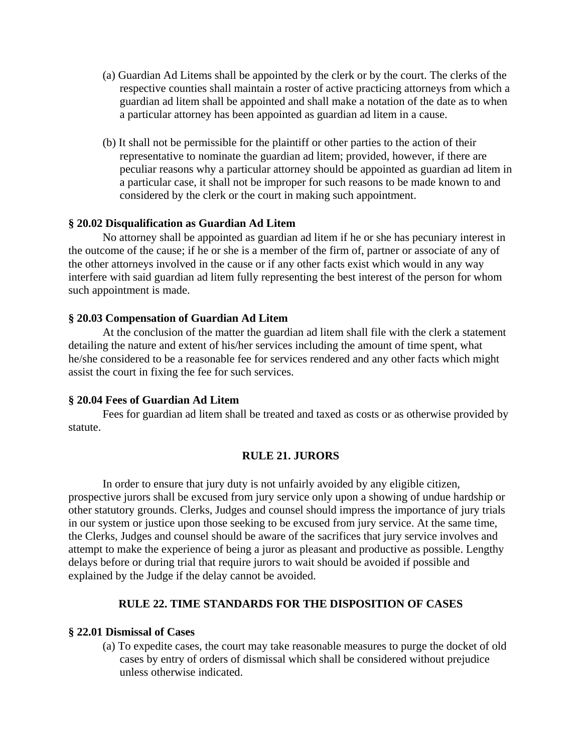- (a) Guardian Ad Litems shall be appointed by the clerk or by the court. The clerks of the respective counties shall maintain a roster of active practicing attorneys from which a guardian ad litem shall be appointed and shall make a notation of the date as to when a particular attorney has been appointed as guardian ad litem in a cause.
- (b) It shall not be permissible for the plaintiff or other parties to the action of their representative to nominate the guardian ad litem; provided, however, if there are peculiar reasons why a particular attorney should be appointed as guardian ad litem in a particular case, it shall not be improper for such reasons to be made known to and considered by the clerk or the court in making such appointment.

### **§ 20.02 Disqualification as Guardian Ad Litem**

 No attorney shall be appointed as guardian ad litem if he or she has pecuniary interest in the outcome of the cause; if he or she is a member of the firm of, partner or associate of any of the other attorneys involved in the cause or if any other facts exist which would in any way interfere with said guardian ad litem fully representing the best interest of the person for whom such appointment is made.

### **§ 20.03 Compensation of Guardian Ad Litem**

 At the conclusion of the matter the guardian ad litem shall file with the clerk a statement detailing the nature and extent of his/her services including the amount of time spent, what he/she considered to be a reasonable fee for services rendered and any other facts which might assist the court in fixing the fee for such services.

### **§ 20.04 Fees of Guardian Ad Litem**

 Fees for guardian ad litem shall be treated and taxed as costs or as otherwise provided by statute.

### **RULE 21. JURORS**

In order to ensure that jury duty is not unfairly avoided by any eligible citizen, prospective jurors shall be excused from jury service only upon a showing of undue hardship or other statutory grounds. Clerks, Judges and counsel should impress the importance of jury trials in our system or justice upon those seeking to be excused from jury service. At the same time, the Clerks, Judges and counsel should be aware of the sacrifices that jury service involves and attempt to make the experience of being a juror as pleasant and productive as possible. Lengthy delays before or during trial that require jurors to wait should be avoided if possible and explained by the Judge if the delay cannot be avoided.

## **RULE 22. TIME STANDARDS FOR THE DISPOSITION OF CASES**

### **§ 22.01 Dismissal of Cases**

(a) To expedite cases, the court may take reasonable measures to purge the docket of old cases by entry of orders of dismissal which shall be considered without prejudice unless otherwise indicated.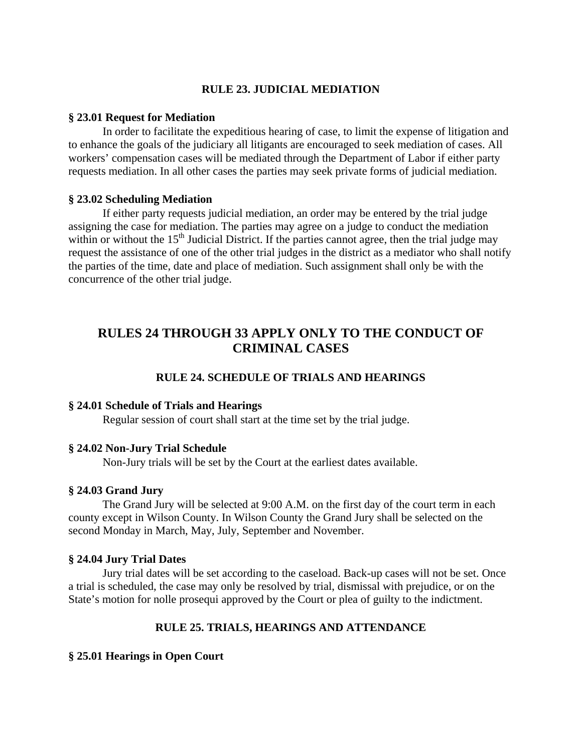## **RULE 23. JUDICIAL MEDIATION**

### **§ 23.01 Request for Mediation**

 In order to facilitate the expeditious hearing of case, to limit the expense of litigation and to enhance the goals of the judiciary all litigants are encouraged to seek mediation of cases. All workers' compensation cases will be mediated through the Department of Labor if either party requests mediation. In all other cases the parties may seek private forms of judicial mediation.

### **§ 23.02 Scheduling Mediation**

 If either party requests judicial mediation, an order may be entered by the trial judge assigning the case for mediation. The parties may agree on a judge to conduct the mediation within or without the 15<sup>th</sup> Judicial District. If the parties cannot agree, then the trial judge may request the assistance of one of the other trial judges in the district as a mediator who shall notify the parties of the time, date and place of mediation. Such assignment shall only be with the concurrence of the other trial judge.

## **RULES 24 THROUGH 33 APPLY ONLY TO THE CONDUCT OF CRIMINAL CASES**

## **RULE 24. SCHEDULE OF TRIALS AND HEARINGS**

### **§ 24.01 Schedule of Trials and Hearings**

Regular session of court shall start at the time set by the trial judge.

### **§ 24.02 Non-Jury Trial Schedule**

Non-Jury trials will be set by the Court at the earliest dates available.

## **§ 24.03 Grand Jury**

 The Grand Jury will be selected at 9:00 A.M. on the first day of the court term in each county except in Wilson County. In Wilson County the Grand Jury shall be selected on the second Monday in March, May, July, September and November.

### **§ 24.04 Jury Trial Dates**

 Jury trial dates will be set according to the caseload. Back-up cases will not be set. Once a trial is scheduled, the case may only be resolved by trial, dismissal with prejudice, or on the State's motion for nolle prosequi approved by the Court or plea of guilty to the indictment.

## **RULE 25. TRIALS, HEARINGS AND ATTENDANCE**

### **§ 25.01 Hearings in Open Court**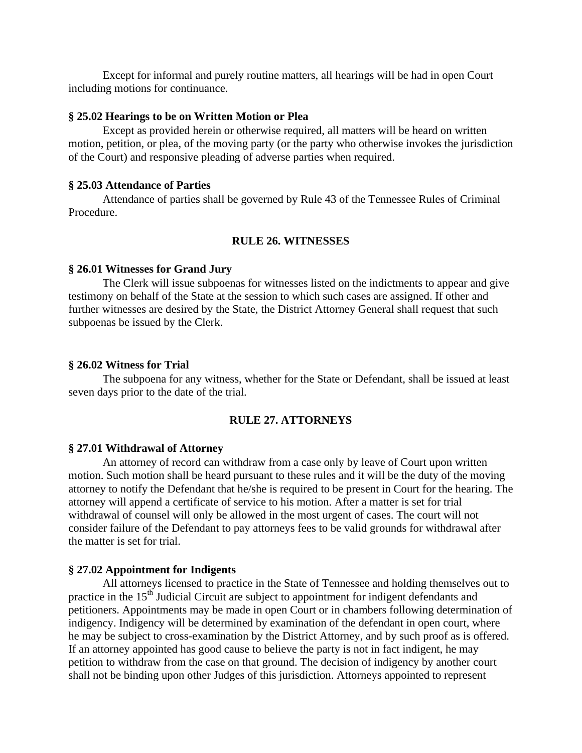Except for informal and purely routine matters, all hearings will be had in open Court including motions for continuance.

### **§ 25.02 Hearings to be on Written Motion or Plea**

 Except as provided herein or otherwise required, all matters will be heard on written motion, petition, or plea, of the moving party (or the party who otherwise invokes the jurisdiction of the Court) and responsive pleading of adverse parties when required.

### **§ 25.03 Attendance of Parties**

 Attendance of parties shall be governed by Rule 43 of the Tennessee Rules of Criminal Procedure.

## **RULE 26. WITNESSES**

### **§ 26.01 Witnesses for Grand Jury**

 The Clerk will issue subpoenas for witnesses listed on the indictments to appear and give testimony on behalf of the State at the session to which such cases are assigned. If other and further witnesses are desired by the State, the District Attorney General shall request that such subpoenas be issued by the Clerk.

### **§ 26.02 Witness for Trial**

The subpoena for any witness, whether for the State or Defendant, shall be issued at least seven days prior to the date of the trial.

### **RULE 27. ATTORNEYS**

#### **§ 27.01 Withdrawal of Attorney**

 An attorney of record can withdraw from a case only by leave of Court upon written motion. Such motion shall be heard pursuant to these rules and it will be the duty of the moving attorney to notify the Defendant that he/she is required to be present in Court for the hearing. The attorney will append a certificate of service to his motion. After a matter is set for trial withdrawal of counsel will only be allowed in the most urgent of cases. The court will not consider failure of the Defendant to pay attorneys fees to be valid grounds for withdrawal after the matter is set for trial.

### **§ 27.02 Appointment for Indigents**

 All attorneys licensed to practice in the State of Tennessee and holding themselves out to practice in the 15<sup>th</sup> Judicial Circuit are subject to appointment for indigent defendants and petitioners. Appointments may be made in open Court or in chambers following determination of indigency. Indigency will be determined by examination of the defendant in open court, where he may be subject to cross-examination by the District Attorney, and by such proof as is offered. If an attorney appointed has good cause to believe the party is not in fact indigent, he may petition to withdraw from the case on that ground. The decision of indigency by another court shall not be binding upon other Judges of this jurisdiction. Attorneys appointed to represent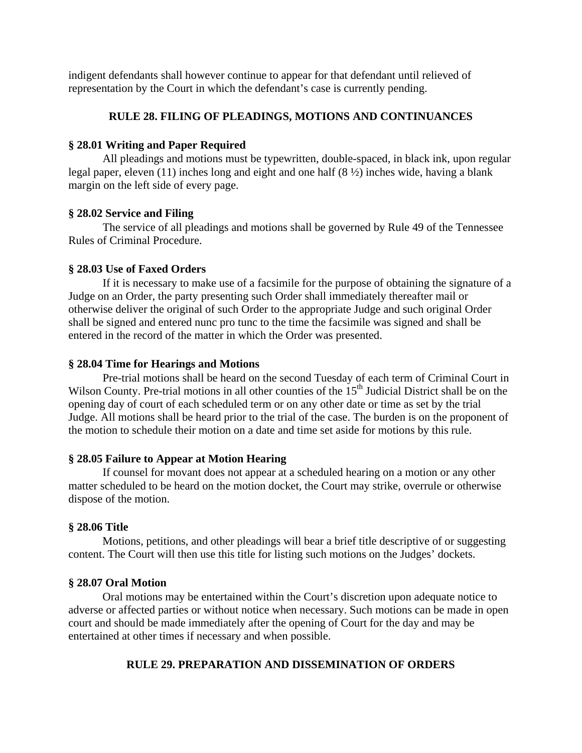indigent defendants shall however continue to appear for that defendant until relieved of representation by the Court in which the defendant's case is currently pending.

## **RULE 28. FILING OF PLEADINGS, MOTIONS AND CONTINUANCES**

## **§ 28.01 Writing and Paper Required**

 All pleadings and motions must be typewritten, double-spaced, in black ink, upon regular legal paper, eleven (11) inches long and eight and one half (8 ½) inches wide, having a blank margin on the left side of every page.

## **§ 28.02 Service and Filing**

 The service of all pleadings and motions shall be governed by Rule 49 of the Tennessee Rules of Criminal Procedure.

## **§ 28.03 Use of Faxed Orders**

If it is necessary to make use of a facsimile for the purpose of obtaining the signature of a Judge on an Order, the party presenting such Order shall immediately thereafter mail or otherwise deliver the original of such Order to the appropriate Judge and such original Order shall be signed and entered nunc pro tunc to the time the facsimile was signed and shall be entered in the record of the matter in which the Order was presented.

## **§ 28.04 Time for Hearings and Motions**

 Pre-trial motions shall be heard on the second Tuesday of each term of Criminal Court in Wilson County. Pre-trial motions in all other counties of the  $15<sup>th</sup>$  Judicial District shall be on the opening day of court of each scheduled term or on any other date or time as set by the trial Judge. All motions shall be heard prior to the trial of the case. The burden is on the proponent of the motion to schedule their motion on a date and time set aside for motions by this rule.

## **§ 28.05 Failure to Appear at Motion Hearing**

 If counsel for movant does not appear at a scheduled hearing on a motion or any other matter scheduled to be heard on the motion docket, the Court may strike, overrule or otherwise dispose of the motion.

## **§ 28.06 Title**

 Motions, petitions, and other pleadings will bear a brief title descriptive of or suggesting content. The Court will then use this title for listing such motions on the Judges' dockets.

## **§ 28.07 Oral Motion**

 Oral motions may be entertained within the Court's discretion upon adequate notice to adverse or affected parties or without notice when necessary. Such motions can be made in open court and should be made immediately after the opening of Court for the day and may be entertained at other times if necessary and when possible.

## **RULE 29. PREPARATION AND DISSEMINATION OF ORDERS**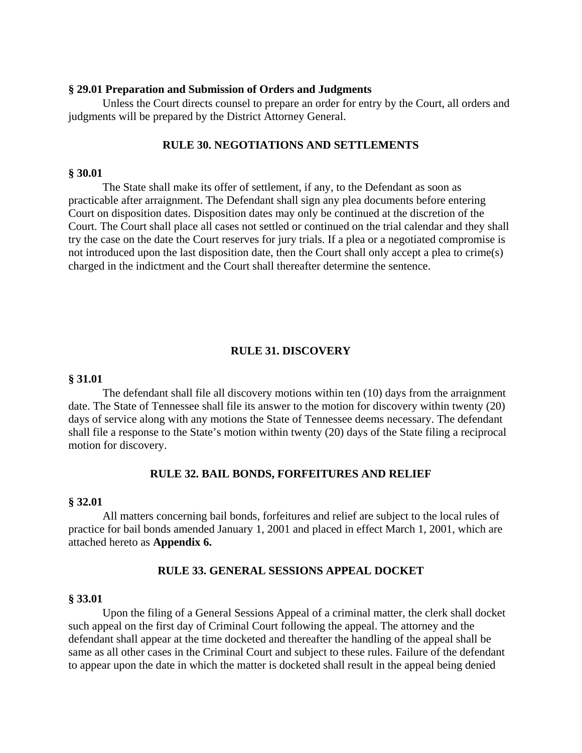#### **§ 29.01 Preparation and Submission of Orders and Judgments**

 Unless the Court directs counsel to prepare an order for entry by the Court, all orders and judgments will be prepared by the District Attorney General.

### **RULE 30. NEGOTIATIONS AND SETTLEMENTS**

## **§ 30.01**

 The State shall make its offer of settlement, if any, to the Defendant as soon as practicable after arraignment. The Defendant shall sign any plea documents before entering Court on disposition dates. Disposition dates may only be continued at the discretion of the Court. The Court shall place all cases not settled or continued on the trial calendar and they shall try the case on the date the Court reserves for jury trials. If a plea or a negotiated compromise is not introduced upon the last disposition date, then the Court shall only accept a plea to crime(s) charged in the indictment and the Court shall thereafter determine the sentence.

### **RULE 31. DISCOVERY**

### **§ 31.01**

 The defendant shall file all discovery motions within ten (10) days from the arraignment date. The State of Tennessee shall file its answer to the motion for discovery within twenty (20) days of service along with any motions the State of Tennessee deems necessary. The defendant shall file a response to the State's motion within twenty (20) days of the State filing a reciprocal motion for discovery.

### **RULE 32. BAIL BONDS, FORFEITURES AND RELIEF**

## **§ 32.01**

 All matters concerning bail bonds, forfeitures and relief are subject to the local rules of practice for bail bonds amended January 1, 2001 and placed in effect March 1, 2001, which are attached hereto as **Appendix 6.**

### **RULE 33. GENERAL SESSIONS APPEAL DOCKET**

#### **§ 33.01**

 Upon the filing of a General Sessions Appeal of a criminal matter, the clerk shall docket such appeal on the first day of Criminal Court following the appeal. The attorney and the defendant shall appear at the time docketed and thereafter the handling of the appeal shall be same as all other cases in the Criminal Court and subject to these rules. Failure of the defendant to appear upon the date in which the matter is docketed shall result in the appeal being denied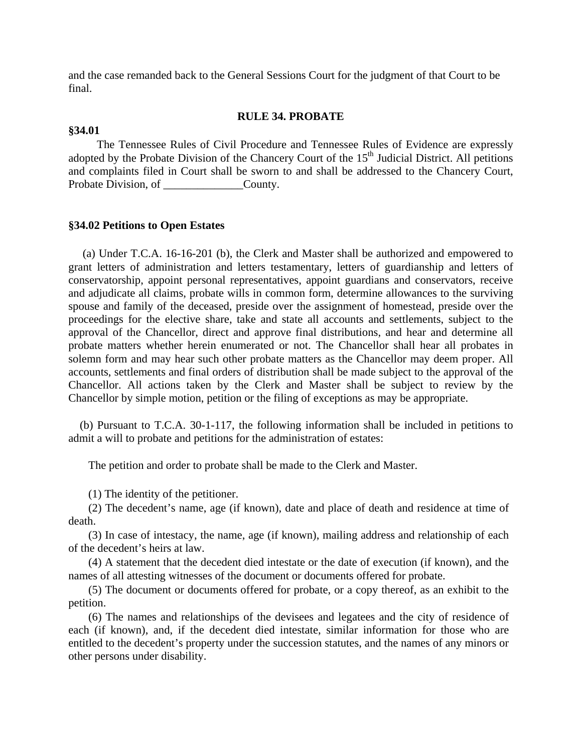and the case remanded back to the General Sessions Court for the judgment of that Court to be final.

### **RULE 34. PROBATE**

#### **§34.01**

 The Tennessee Rules of Civil Procedure and Tennessee Rules of Evidence are expressly adopted by the Probate Division of the Chancery Court of the  $15<sup>th</sup>$  Judicial District. All petitions and complaints filed in Court shall be sworn to and shall be addressed to the Chancery Court, Probate Division, of County.

#### **§34.02 Petitions to Open Estates**

 (a) Under T.C.A. 16-16-201 (b), the Clerk and Master shall be authorized and empowered to grant letters of administration and letters testamentary, letters of guardianship and letters of conservatorship, appoint personal representatives, appoint guardians and conservators, receive and adjudicate all claims, probate wills in common form, determine allowances to the surviving spouse and family of the deceased, preside over the assignment of homestead, preside over the proceedings for the elective share, take and state all accounts and settlements, subject to the approval of the Chancellor, direct and approve final distributions, and hear and determine all probate matters whether herein enumerated or not. The Chancellor shall hear all probates in solemn form and may hear such other probate matters as the Chancellor may deem proper. All accounts, settlements and final orders of distribution shall be made subject to the approval of the Chancellor. All actions taken by the Clerk and Master shall be subject to review by the Chancellor by simple motion, petition or the filing of exceptions as may be appropriate.

 (b) Pursuant to T.C.A. 30-1-117, the following information shall be included in petitions to admit a will to probate and petitions for the administration of estates:

The petition and order to probate shall be made to the Clerk and Master.

(1) The identity of the petitioner.

 (2) The decedent's name, age (if known), date and place of death and residence at time of death.

 (3) In case of intestacy, the name, age (if known), mailing address and relationship of each of the decedent's heirs at law.

 (4) A statement that the decedent died intestate or the date of execution (if known), and the names of all attesting witnesses of the document or documents offered for probate.

 (5) The document or documents offered for probate, or a copy thereof, as an exhibit to the petition.

 (6) The names and relationships of the devisees and legatees and the city of residence of each (if known), and, if the decedent died intestate, similar information for those who are entitled to the decedent's property under the succession statutes, and the names of any minors or other persons under disability.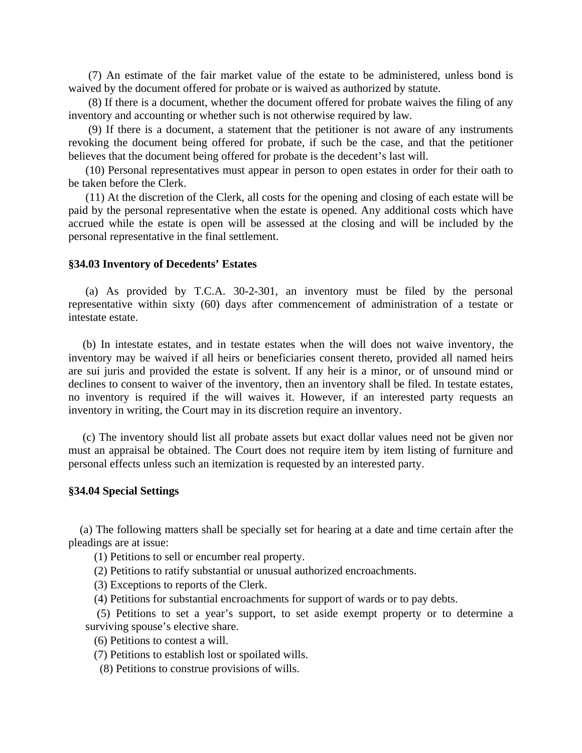(7) An estimate of the fair market value of the estate to be administered, unless bond is waived by the document offered for probate or is waived as authorized by statute.

 (8) If there is a document, whether the document offered for probate waives the filing of any inventory and accounting or whether such is not otherwise required by law.

 (9) If there is a document, a statement that the petitioner is not aware of any instruments revoking the document being offered for probate, if such be the case, and that the petitioner believes that the document being offered for probate is the decedent's last will.

 (10) Personal representatives must appear in person to open estates in order for their oath to be taken before the Clerk.

 (11) At the discretion of the Clerk, all costs for the opening and closing of each estate will be paid by the personal representative when the estate is opened. Any additional costs which have accrued while the estate is open will be assessed at the closing and will be included by the personal representative in the final settlement.

### **§34.03 Inventory of Decedents' Estates**

 (a) As provided by T.C.A. 30-2-301, an inventory must be filed by the personal representative within sixty (60) days after commencement of administration of a testate or intestate estate.

 (b) In intestate estates, and in testate estates when the will does not waive inventory, the inventory may be waived if all heirs or beneficiaries consent thereto, provided all named heirs are sui juris and provided the estate is solvent. If any heir is a minor, or of unsound mind or declines to consent to waiver of the inventory, then an inventory shall be filed. In testate estates, no inventory is required if the will waives it. However, if an interested party requests an inventory in writing, the Court may in its discretion require an inventory.

 (c) The inventory should list all probate assets but exact dollar values need not be given nor must an appraisal be obtained. The Court does not require item by item listing of furniture and personal effects unless such an itemization is requested by an interested party.

### **§34.04 Special Settings**

 (a) The following matters shall be specially set for hearing at a date and time certain after the pleadings are at issue:

(1) Petitions to sell or encumber real property.

(2) Petitions to ratify substantial or unusual authorized encroachments.

(3) Exceptions to reports of the Clerk.

(4) Petitions for substantial encroachments for support of wards or to pay debts.

 (5) Petitions to set a year's support, to set aside exempt property or to determine a surviving spouse's elective share.

(6) Petitions to contest a will.

(7) Petitions to establish lost or spoilated wills.

(8) Petitions to construe provisions of wills.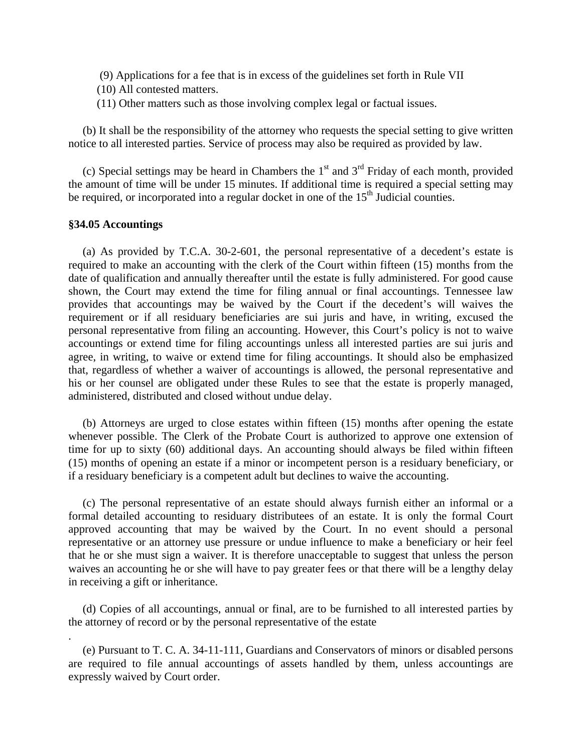- (9) Applications for a fee that is in excess of the guidelines set forth in Rule VII
- (10) All contested matters.
- (11) Other matters such as those involving complex legal or factual issues.

 (b) It shall be the responsibility of the attorney who requests the special setting to give written notice to all interested parties. Service of process may also be required as provided by law.

(c) Special settings may be heard in Chambers the  $1<sup>st</sup>$  and  $3<sup>rd</sup>$  Friday of each month, provided the amount of time will be under 15 minutes. If additional time is required a special setting may be required, or incorporated into a regular docket in one of the  $15<sup>th</sup>$  Judicial counties.

## **§34.05 Accountings**

.

 (a) As provided by T.C.A. 30-2-601, the personal representative of a decedent's estate is required to make an accounting with the clerk of the Court within fifteen (15) months from the date of qualification and annually thereafter until the estate is fully administered. For good cause shown, the Court may extend the time for filing annual or final accountings. Tennessee law provides that accountings may be waived by the Court if the decedent's will waives the requirement or if all residuary beneficiaries are sui juris and have, in writing, excused the personal representative from filing an accounting. However, this Court's policy is not to waive accountings or extend time for filing accountings unless all interested parties are sui juris and agree, in writing, to waive or extend time for filing accountings. It should also be emphasized that, regardless of whether a waiver of accountings is allowed, the personal representative and his or her counsel are obligated under these Rules to see that the estate is properly managed, administered, distributed and closed without undue delay.

 (b) Attorneys are urged to close estates within fifteen (15) months after opening the estate whenever possible. The Clerk of the Probate Court is authorized to approve one extension of time for up to sixty (60) additional days. An accounting should always be filed within fifteen (15) months of opening an estate if a minor or incompetent person is a residuary beneficiary, or if a residuary beneficiary is a competent adult but declines to waive the accounting.

 (c) The personal representative of an estate should always furnish either an informal or a formal detailed accounting to residuary distributees of an estate. It is only the formal Court approved accounting that may be waived by the Court. In no event should a personal representative or an attorney use pressure or undue influence to make a beneficiary or heir feel that he or she must sign a waiver. It is therefore unacceptable to suggest that unless the person waives an accounting he or she will have to pay greater fees or that there will be a lengthy delay in receiving a gift or inheritance.

 (d) Copies of all accountings, annual or final, are to be furnished to all interested parties by the attorney of record or by the personal representative of the estate

 (e) Pursuant to T. C. A. 34-11-111, Guardians and Conservators of minors or disabled persons are required to file annual accountings of assets handled by them, unless accountings are expressly waived by Court order.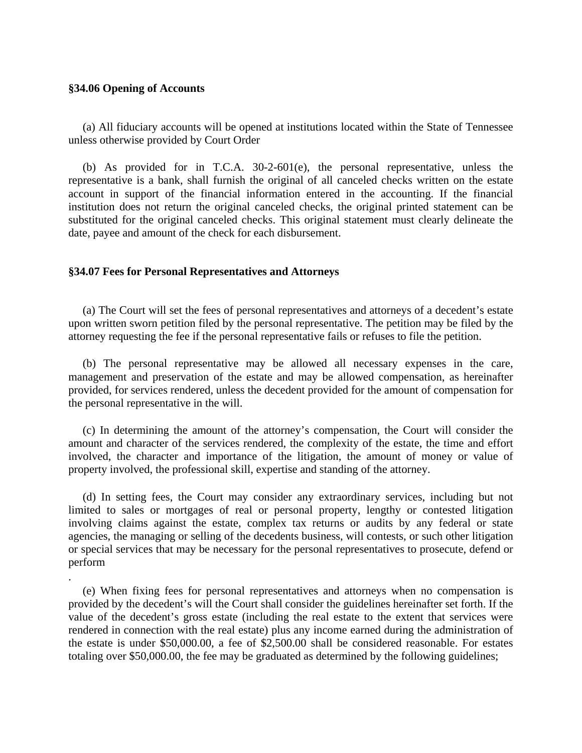### **§34.06 Opening of Accounts**

.

 (a) All fiduciary accounts will be opened at institutions located within the State of Tennessee unless otherwise provided by Court Order

 (b) As provided for in T.C.A. 30-2-601(e), the personal representative, unless the representative is a bank, shall furnish the original of all canceled checks written on the estate account in support of the financial information entered in the accounting. If the financial institution does not return the original canceled checks, the original printed statement can be substituted for the original canceled checks. This original statement must clearly delineate the date, payee and amount of the check for each disbursement.

### **§34.07 Fees for Personal Representatives and Attorneys**

 (a) The Court will set the fees of personal representatives and attorneys of a decedent's estate upon written sworn petition filed by the personal representative. The petition may be filed by the attorney requesting the fee if the personal representative fails or refuses to file the petition.

 (b) The personal representative may be allowed all necessary expenses in the care, management and preservation of the estate and may be allowed compensation, as hereinafter provided, for services rendered, unless the decedent provided for the amount of compensation for the personal representative in the will.

 (c) In determining the amount of the attorney's compensation, the Court will consider the amount and character of the services rendered, the complexity of the estate, the time and effort involved, the character and importance of the litigation, the amount of money or value of property involved, the professional skill, expertise and standing of the attorney.

 (d) In setting fees, the Court may consider any extraordinary services, including but not limited to sales or mortgages of real or personal property, lengthy or contested litigation involving claims against the estate, complex tax returns or audits by any federal or state agencies, the managing or selling of the decedents business, will contests, or such other litigation or special services that may be necessary for the personal representatives to prosecute, defend or perform

 (e) When fixing fees for personal representatives and attorneys when no compensation is provided by the decedent's will the Court shall consider the guidelines hereinafter set forth. If the value of the decedent's gross estate (including the real estate to the extent that services were rendered in connection with the real estate) plus any income earned during the administration of the estate is under \$50,000.00, a fee of \$2,500.00 shall be considered reasonable. For estates totaling over \$50,000.00, the fee may be graduated as determined by the following guidelines;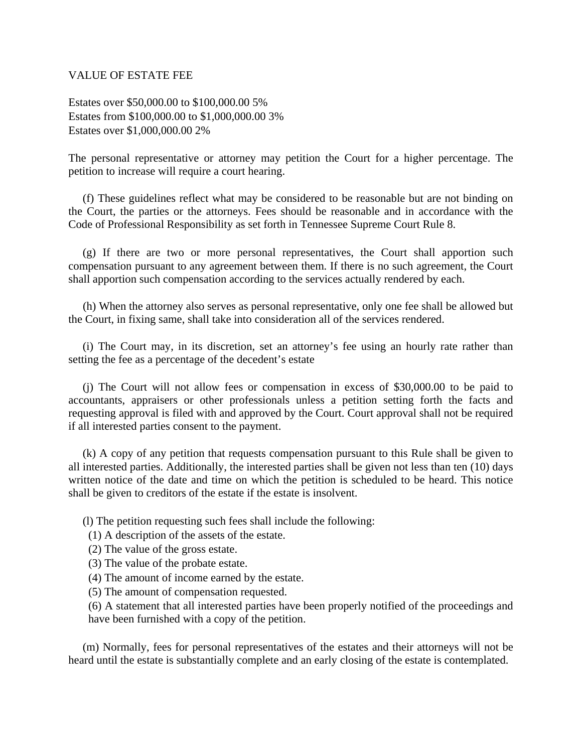### VALUE OF ESTATE FEE

Estates over \$50,000.00 to \$100,000.00 5% Estates from \$100,000.00 to \$1,000,000.00 3% Estates over \$1,000,000.00 2%

The personal representative or attorney may petition the Court for a higher percentage. The petition to increase will require a court hearing.

 (f) These guidelines reflect what may be considered to be reasonable but are not binding on the Court, the parties or the attorneys. Fees should be reasonable and in accordance with the Code of Professional Responsibility as set forth in Tennessee Supreme Court Rule 8.

 (g) If there are two or more personal representatives, the Court shall apportion such compensation pursuant to any agreement between them. If there is no such agreement, the Court shall apportion such compensation according to the services actually rendered by each.

 (h) When the attorney also serves as personal representative, only one fee shall be allowed but the Court, in fixing same, shall take into consideration all of the services rendered.

 (i) The Court may, in its discretion, set an attorney's fee using an hourly rate rather than setting the fee as a percentage of the decedent's estate

 (j) The Court will not allow fees or compensation in excess of \$30,000.00 to be paid to accountants, appraisers or other professionals unless a petition setting forth the facts and requesting approval is filed with and approved by the Court. Court approval shall not be required if all interested parties consent to the payment.

 (k) A copy of any petition that requests compensation pursuant to this Rule shall be given to all interested parties. Additionally, the interested parties shall be given not less than ten (10) days written notice of the date and time on which the petition is scheduled to be heard. This notice shall be given to creditors of the estate if the estate is insolvent.

(l) The petition requesting such fees shall include the following:

- (1) A description of the assets of the estate.
- (2) The value of the gross estate.
- (3) The value of the probate estate.
- (4) The amount of income earned by the estate.
- (5) The amount of compensation requested.

(6) A statement that all interested parties have been properly notified of the proceedings and have been furnished with a copy of the petition.

 (m) Normally, fees for personal representatives of the estates and their attorneys will not be heard until the estate is substantially complete and an early closing of the estate is contemplated.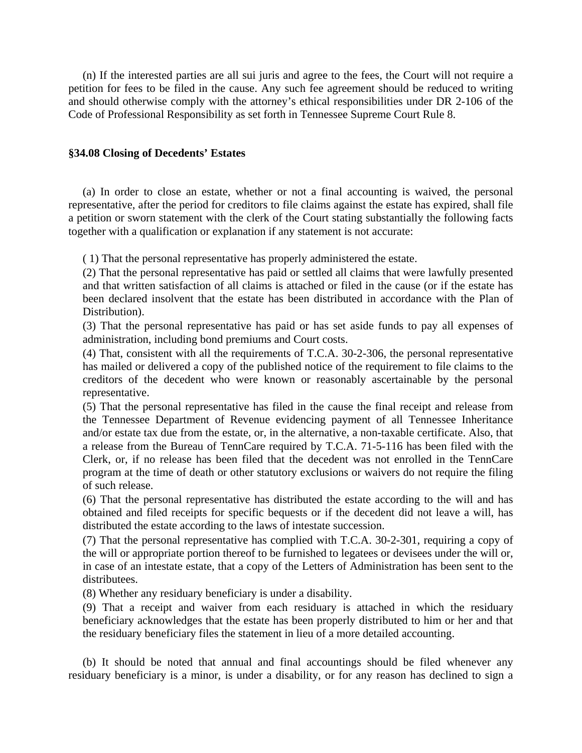(n) If the interested parties are all sui juris and agree to the fees, the Court will not require a petition for fees to be filed in the cause. Any such fee agreement should be reduced to writing and should otherwise comply with the attorney's ethical responsibilities under DR 2-106 of the Code of Professional Responsibility as set forth in Tennessee Supreme Court Rule 8.

#### **§34.08 Closing of Decedents' Estates**

 (a) In order to close an estate, whether or not a final accounting is waived, the personal representative, after the period for creditors to file claims against the estate has expired, shall file a petition or sworn statement with the clerk of the Court stating substantially the following facts together with a qualification or explanation if any statement is not accurate:

( 1) That the personal representative has properly administered the estate.

(2) That the personal representative has paid or settled all claims that were lawfully presented and that written satisfaction of all claims is attached or filed in the cause (or if the estate has been declared insolvent that the estate has been distributed in accordance with the Plan of Distribution).

(3) That the personal representative has paid or has set aside funds to pay all expenses of administration, including bond premiums and Court costs.

(4) That, consistent with all the requirements of T.C.A. 30-2-306, the personal representative has mailed or delivered a copy of the published notice of the requirement to file claims to the creditors of the decedent who were known or reasonably ascertainable by the personal representative.

(5) That the personal representative has filed in the cause the final receipt and release from the Tennessee Department of Revenue evidencing payment of all Tennessee Inheritance and/or estate tax due from the estate, or, in the alternative, a non-taxable certificate. Also, that a release from the Bureau of TennCare required by T.C.A. 71-5-116 has been filed with the Clerk, or, if no release has been filed that the decedent was not enrolled in the TennCare program at the time of death or other statutory exclusions or waivers do not require the filing of such release.

(6) That the personal representative has distributed the estate according to the will and has obtained and filed receipts for specific bequests or if the decedent did not leave a will, has distributed the estate according to the laws of intestate succession.

(7) That the personal representative has complied with T.C.A. 30-2-301, requiring a copy of the will or appropriate portion thereof to be furnished to legatees or devisees under the will or, in case of an intestate estate, that a copy of the Letters of Administration has been sent to the distributees.

(8) Whether any residuary beneficiary is under a disability.

(9) That a receipt and waiver from each residuary is attached in which the residuary beneficiary acknowledges that the estate has been properly distributed to him or her and that the residuary beneficiary files the statement in lieu of a more detailed accounting.

 (b) It should be noted that annual and final accountings should be filed whenever any residuary beneficiary is a minor, is under a disability, or for any reason has declined to sign a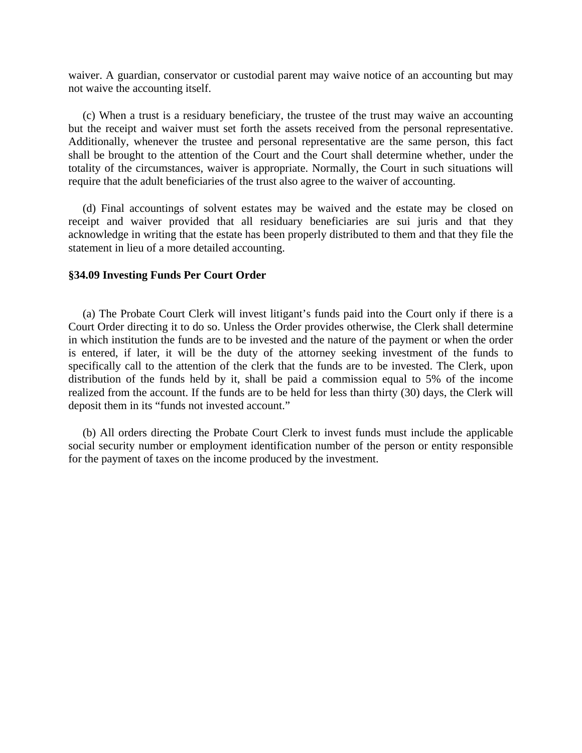waiver. A guardian, conservator or custodial parent may waive notice of an accounting but may not waive the accounting itself.

 (c) When a trust is a residuary beneficiary, the trustee of the trust may waive an accounting but the receipt and waiver must set forth the assets received from the personal representative. Additionally, whenever the trustee and personal representative are the same person, this fact shall be brought to the attention of the Court and the Court shall determine whether, under the totality of the circumstances, waiver is appropriate. Normally, the Court in such situations will require that the adult beneficiaries of the trust also agree to the waiver of accounting.

 (d) Final accountings of solvent estates may be waived and the estate may be closed on receipt and waiver provided that all residuary beneficiaries are sui juris and that they acknowledge in writing that the estate has been properly distributed to them and that they file the statement in lieu of a more detailed accounting.

#### **§34.09 Investing Funds Per Court Order**

 (a) The Probate Court Clerk will invest litigant's funds paid into the Court only if there is a Court Order directing it to do so. Unless the Order provides otherwise, the Clerk shall determine in which institution the funds are to be invested and the nature of the payment or when the order is entered, if later, it will be the duty of the attorney seeking investment of the funds to specifically call to the attention of the clerk that the funds are to be invested. The Clerk, upon distribution of the funds held by it, shall be paid a commission equal to 5% of the income realized from the account. If the funds are to be held for less than thirty (30) days, the Clerk will deposit them in its "funds not invested account."

 (b) All orders directing the Probate Court Clerk to invest funds must include the applicable social security number or employment identification number of the person or entity responsible for the payment of taxes on the income produced by the investment.